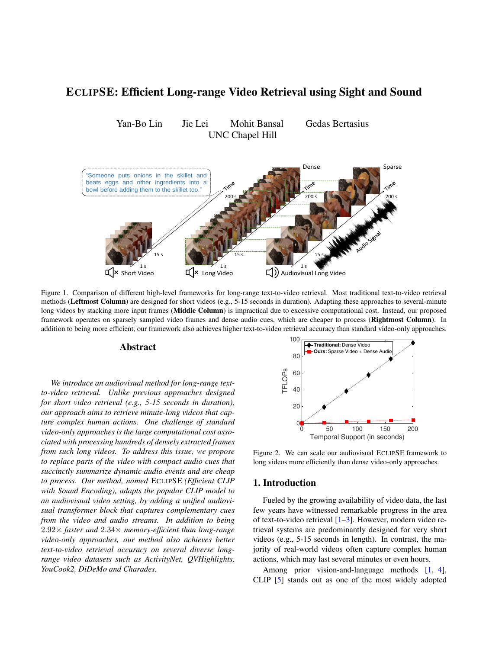# <span id="page-0-2"></span>ECLIPSE: Efficient Long-range Video Retrieval using Sight and Sound

Yan-Bo Lin Jie Lei Mohit Bansal Gedas Bertasius UNC Chapel Hill

<span id="page-0-1"></span>

Figure 1. Comparison of different high-level frameworks for long-range text-to-video retrieval. Most traditional text-to-video retrieval methods (Leftmost Column) are designed for short videos (e.g., 5-15 seconds in duration). Adapting these approaches to several-minute long videos by stacking more input frames (**Middle Column**) is impractical due to excessive computational cost. Instead, our proposed framework operates on sparsely sampled video frames and dense audio cues, which are cheaper to process (Rightmost Column). In addition to being more efficient, our framework also achieves higher text-to-video retrieval accuracy than standard video-only approaches.

### Abstract

*We introduce an audiovisual method for long-range textto-video retrieval. Unlike previous approaches designed for short video retrieval (e.g., 5-15 seconds in duration), our approach aims to retrieve minute-long videos that capture complex human actions. One challenge of standard video-only approaches is the large computational cost associated with processing hundreds of densely extracted frames from such long videos. To address this issue, we propose to replace parts of the video with compact audio cues that succinctly summarize dynamic audio events and are cheap to process. Our method, named* ECLIPSE *(Efficient CLIP with Sound Encoding), adapts the popular CLIP model to an audiovisual video setting, by adding a unified audiovisual transformer block that captures complementary cues from the video and audio streams. In addition to being* 2.92× *faster and* 2.34× *memory-efficient than long-range video-only approaches, our method also achieves better text-to-video retrieval accuracy on several diverse longrange video datasets such as ActivityNet, QVHighlights, YouCook2, DiDeMo and Charades.*

<span id="page-0-0"></span>

Figure 2. We can scale our audiovisual ECLIPSE framework to long videos more efficiently than dense video-only approaches.

### 1. Introduction

Fueled by the growing availability of video data, the last few years have witnessed remarkable progress in the area of text-to-video retrieval [\[1](#page-3-0)[–3\]](#page-3-1). However, modern video retrieval systems are predominantly designed for very short videos (e.g., 5-15 seconds in length). In contrast, the majority of real-world videos often capture complex human actions, which may last several minutes or even hours.

Among prior vision-and-language methods [\[1,](#page-3-0) [4\]](#page-3-2), CLIP [\[5\]](#page-3-3) stands out as one of the most widely adopted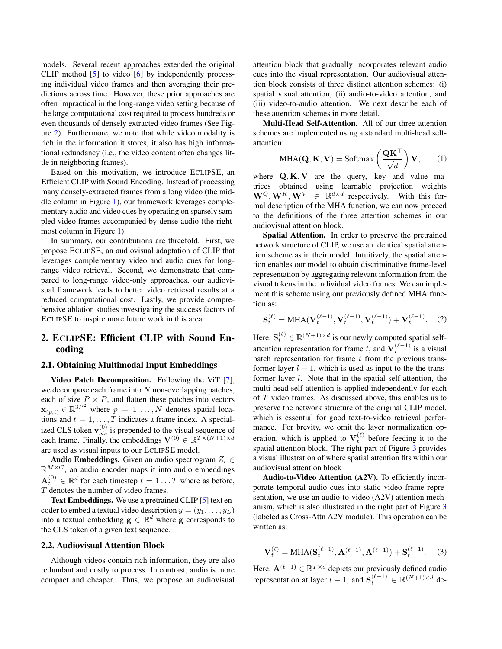<span id="page-1-0"></span>models. Several recent approaches extended the original CLIP method [\[5\]](#page-3-3) to video [\[6\]](#page-3-4) by independently processing individual video frames and then averaging their predictions across time. However, these prior approaches are often impractical in the long-range video setting because of the large computational cost required to process hundreds or even thousands of densely extracted video frames (See Figure [2\)](#page-0-0). Furthermore, we note that while video modality is rich in the information it stores, it also has high informational redundancy (i.e., the video content often changes little in neighboring frames).

Based on this motivation, we introduce ECLIPSE, an Efficient CLIP with Sound Encoding. Instead of processing many densely-extracted frames from a long video (the middle column in Figure [1\)](#page-0-1), our framework leverages complementary audio and video cues by operating on sparsely sampled video frames accompanied by dense audio (the rightmost column in Figure [1\)](#page-0-1).

In summary, our contributions are threefold. First, we propose ECLIPSE, an audiovisual adaptation of CLIP that leverages complementary video and audio cues for longrange video retrieval. Second, we demonstrate that compared to long-range video-only approaches, our audiovisual framework leads to better video retrieval results at a reduced computational cost. Lastly, we provide comprehensive ablation studies investigating the success factors of ECLIPSE to inspire more future work in this area.

# 2. ECLIPSE: Efficient CLIP with Sound Encoding

#### 2.1. Obtaining Multimodal Input Embeddings

Video Patch Decomposition. Following the ViT [\[7\]](#page-3-5), we decompose each frame into  $N$  non-overlapping patches, each of size  $P \times P$ , and flatten these patches into vectors  $\mathbf{x}_{(p,t)} \in \mathbb{R}^{3P^2}$  where  $p = 1, \dots, N$  denotes spatial locations and  $t = 1, \dots, T$  indicates a frame index. A specialized CLS token  $\mathbf{v}_{cls}^{(0)}$  is prepended to the visual sequence of each frame. Finally, the embeddings  $\mathbf{V}^{(0)} \in \mathbb{R}^{T \times (N+1) \times d}$ are used as visual inputs to our ECLIPSE model.

Audio Embeddings. Given an audio spectrogram  $Z_t \in$  $\mathbb{R}^{M \times C}$ , an audio encoder maps it into audio embeddings  $\mathbf{A}_t^{(0)} \in \mathbb{R}^d$  for each timestep  $t = 1 \dots T$  where as before, T denotes the number of video frames.

Text Embeddings. We use a pretrained CLIP [\[5\]](#page-3-3) text encoder to embed a textual video description  $y = (y_1, \ldots, y_L)$ into a textual embedding  $g \in \mathbb{R}^d$  where g corresponds to the CLS token of a given text sequence.

# 2.2. Audiovisual Attention Block

Although videos contain rich information, they are also redundant and costly to process. In contrast, audio is more compact and cheaper. Thus, we propose an audiovisual attention block that gradually incorporates relevant audio cues into the visual representation. Our audiovisual attention block consists of three distinct attention schemes: (i) spatial visual attention, (ii) audio-to-video attention, and (iii) video-to-audio attention. We next describe each of these attention schemes in more detail.

Multi-Head Self-Attention. All of our three attention schemes are implemented using a standard multi-head selfattention:

$$
MHA(\mathbf{Q}, \mathbf{K}, \mathbf{V}) = \text{Softmax}\left(\frac{\mathbf{Q}\mathbf{K}^{\top}}{\sqrt{d}}\right) \mathbf{V}, \qquad (1)
$$

where  $Q, K, V$  are the query, key and value matrices obtained using learnable projection weights  $\mathbf{W}^Q, \mathbf{W}^K, \mathbf{W}^V \in \mathbb{R}^{d \times d}$  respectively. With this formal description of the MHA function, we can now proceed to the definitions of the three attention schemes in our audiovisual attention block.

Spatial Attention. In order to preserve the pretrained network structure of CLIP, we use an identical spatial attention scheme as in their model. Intuitively, the spatial attention enables our model to obtain discriminative frame-level representation by aggregating relevant information from the visual tokens in the individual video frames. We can implement this scheme using our previously defined MHA function as:

$$
\mathbf{S}_{t}^{(\ell)} = \text{MHA}(\mathbf{V}_{t}^{(\ell-1)}, \mathbf{V}_{t}^{(\ell-1)}, \mathbf{V}_{t}^{(\ell-1)}) + \mathbf{V}_{t}^{(\ell-1)}.
$$
 (2)

Here,  $\mathbf{S}_t^{(\ell)} \in \mathbb{R}^{(N+1) \times d}$  is our newly computed spatial selfattention representation for frame t, and  $V_t^{(\ell-1)}$  is a visual patch representation for frame  $t$  from the previous transformer layer  $l - 1$ , which is used as input to the the transformer layer l. Note that in the spatial self-attention, the multi-head self-attention is applied independently for each of T video frames. As discussed above, this enables us to preserve the network structure of the original CLIP model, which is essential for good text-to-video retrieval performance. For brevity, we omit the layer normalization operation, which is applied to  $\mathbf{V}_t^{(\ell)}$  before feeding it to the spatial attention block. The right part of Figure [3](#page-2-0) provides a visual illustration of where spatial attention fits within our audiovisual attention block

Audio-to-Video Attention (A2V). To efficiently incorporate temporal audio cues into static video frame representation, we use an audio-to-video (A2V) attention mechanism, which is also illustrated in the right part of Figure [3](#page-2-0) (labeled as Cross-Attn A2V module). This operation can be written as:

$$
\mathbf{V}_t^{(\ell)} = \text{MHA}(\mathbf{S}_t^{(\ell-1)}, \mathbf{A}^{(\ell-1)}, \mathbf{A}^{(\ell-1)}) + \mathbf{S}_t^{(\ell-1)}.
$$
 (3)

Here,  $\mathbf{A}^{(\ell-1)} \in \mathbb{R}^{T \times d}$  depicts our previously defined audio representation at layer  $l-1$ , and  $\mathbf{S}_t^{(\ell-1)} \in \mathbb{R}^{(N+1) \times d}$  de-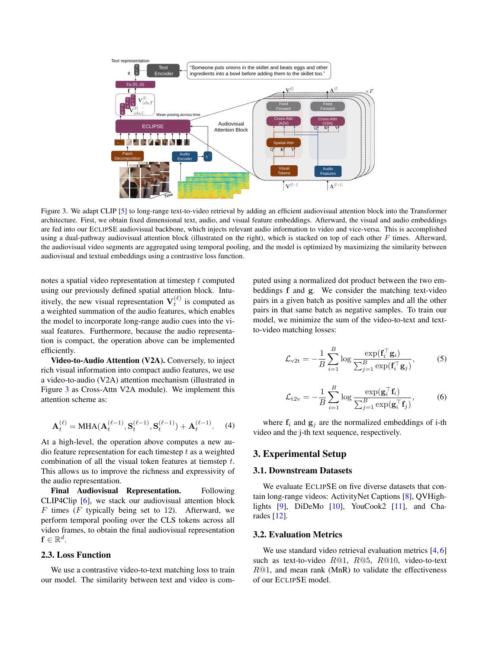<span id="page-2-1"></span><span id="page-2-0"></span>

Figure 3. We adapt CLIP [\[5\]](#page-3-3) to long-range text-to-video retrieval by adding an efficient audiovisual attention block into the Transformer architecture. First, we obtain fixed dimensional text, audio, and visual feature embeddings. Afterward, the visual and audio embeddings are fed into our ECLIPSE audiovisual backbone, which injects relevant audio information to video and vice-versa. This is accomplished using a dual-pathway audiovisual attention block (illustrated on the right), which is stacked on top of each other  $F$  times. Afterward, the audiovisual video segments are aggregated using temporal pooling, and the model is optimized by maximizing the similarity between audiovisual and textual embeddings using a contrastive loss function.

notes a spatial video representation at timestep t computed using our previously defined spatial attention block. Intuitively, the new visual representation  $V_t^{(\ell)}$  is computed as a weighted summation of the audio features, which enables the model to incorporate long-range audio cues into the visual features. Furthermore, because the audio representation is compact, the operation above can be implemented efficiently.

Video-to-Audio Attention (V2A). Conversely, to inject rich visual information into compact audio features, we use a video-to-audio (V2A) attention mechanism (illustrated in Figure [3](#page-2-0) as Cross-Attn V2A module). We implement this attention scheme as:

$$
\mathbf{A}_t^{(\ell)} = \text{MHA}(\mathbf{A}_t^{(\ell-1)}, \mathbf{S}_t^{(\ell-1)}, \mathbf{S}_t^{(\ell-1)}) + \mathbf{A}_t^{(\ell-1)}.
$$
 (4)

At a high-level, the operation above computes a new audio feature representation for each timestep  $t$  as a weighted combination of all the visual token features at tiemstep t. This allows us to improve the richness and expressivity of the audio representation.

Final Audiovisual Representation. Following CLIP4Clip [\[6\]](#page-3-4), we stack our audiovisual attention block  $F$  times ( $F$  typically being set to 12). Afterward, we perform temporal pooling over the CLS tokens across all video frames, to obtain the final audiovisual representation  $\mathbf{f} \in \mathbb{R}^d$ .

### 2.3. Loss Function

We use a contrastive video-to-text matching loss to train our model. The similarity between text and video is computed using a normalized dot product between the two embeddings f and g. We consider the matching text-video pairs in a given batch as positive samples and all the other pairs in that same batch as negative samples. To train our model, we minimize the sum of the video-to-text and textto-video matching losses:

$$
\mathcal{L}_{\text{v2t}} = -\frac{1}{B} \sum_{i=1}^{B} \log \frac{\exp(\mathbf{f}_i^{\top} \mathbf{g}_i)}{\sum_{j=1}^{B} \exp(\mathbf{f}_i^{\top} \mathbf{g}_j)},
$$
(5)

$$
\mathcal{L}_{\text{t2v}} = -\frac{1}{B} \sum_{i=1}^{B} \log \frac{\exp(\mathbf{g}_i^{\top} \mathbf{f}_i)}{\sum_{j=1}^{B} \exp(\mathbf{g}_i^{\top} \mathbf{f}_j)},\tag{6}
$$

where  $f_i$  and  $g_j$  are the normalized embeddings of i-th video and the j-th text sequence, respectively.

# 3. Experimental Setup

#### 3.1. Downstream Datasets

We evaluate ECLIPSE on five diverse datasets that contain long-range videos: ActivityNet Captions [\[8\]](#page-3-6), QVHigh-lights [\[9\]](#page-3-7), DiDeMo [\[10\]](#page-3-8), YouCook2 [\[11\]](#page-3-9), and Charades [\[12\]](#page-3-10).

#### 3.2. Evaluation Metrics

We use standard video retrieval evaluation metrics [\[4,](#page-3-2) [6\]](#page-3-4) such as text-to-video  $R@1$ ,  $R@5$ ,  $R@10$ , video-to-text  $R@1$ , and mean rank (MnR) to validate the effectiveness of our ECLIPSE model.